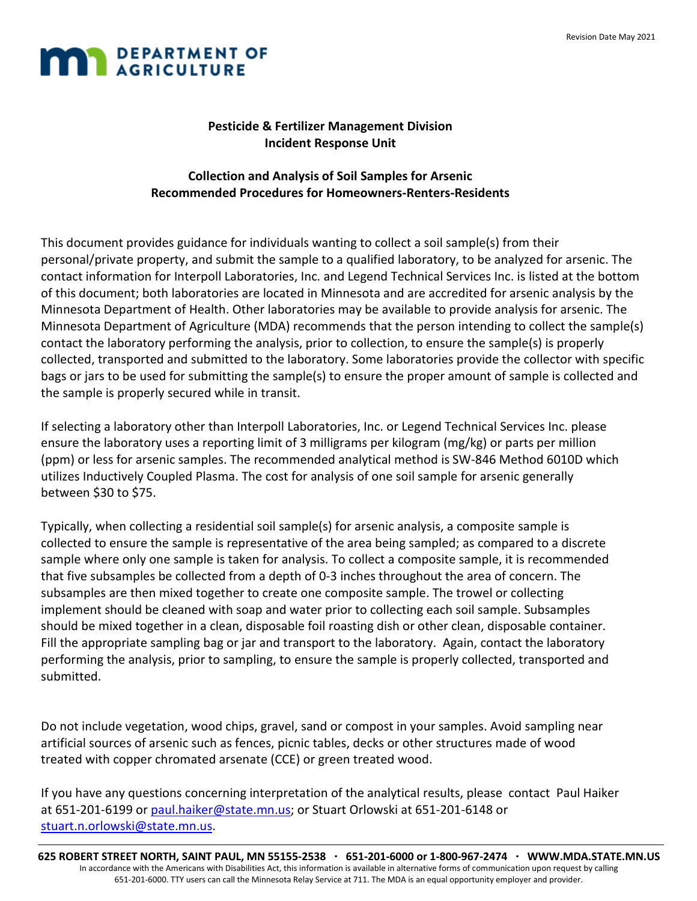

## **Pesticide & Fertilizer Management Division Incident Response Unit**

### **Collection and Analysis of Soil Samples for Arsenic Recommended Procedures for Homeowners-Renters-Residents**

This document provides guidance for individuals wanting to collect a soil sample(s) from their personal/private property, and submit the sample to a qualified laboratory, to be analyzed for arsenic. The contact information for Interpoll Laboratories, Inc. and Legend Technical Services Inc. is listed at the bottom of this document; both laboratories are located in Minnesota and are accredited for arsenic analysis by the Minnesota Department of Health. Other laboratories may be available to provide analysis for arsenic. The Minnesota Department of Agriculture (MDA) recommends that the person intending to collect the sample(s) contact the laboratory performing the analysis, prior to collection, to ensure the sample(s) is properly collected, transported and submitted to the laboratory. Some laboratories provide the collector with specific bags or jars to be used for submitting the sample(s) to ensure the proper amount of sample is collected and the sample is properly secured while in transit.

If selecting a laboratory other than Interpoll Laboratories, Inc. or Legend Technical Services Inc. please ensure the laboratory uses a reporting limit of 3 milligrams per kilogram (mg/kg) or parts per million (ppm) or less for arsenic samples. The recommended analytical method is SW-846 Method 6010D which utilizes Inductively Coupled Plasma. The cost for analysis of one soil sample for arsenic generally between \$30 to \$75.

Typically, when collecting a residential soil sample(s) for arsenic analysis, a composite sample is collected to ensure the sample is representative of the area being sampled; as compared to a discrete sample where only one sample is taken for analysis. To collect a composite sample, it is recommended that five subsamples be collected from a depth of 0-3 inches throughout the area of concern. The subsamples are then mixed together to create one composite sample. The trowel or collecting implement should be cleaned with soap and water prior to collecting each soil sample. Subsamples should be mixed together in a clean, disposable foil roasting dish or other clean, disposable container. Fill the appropriate sampling bag or jar and transport to the laboratory. Again, contact the laboratory performing the analysis, prior to sampling, to ensure the sample is properly collected, transported and submitted.

Do not include vegetation, wood chips, gravel, sand or compost in your samples. Avoid sampling near artificial sources of arsenic such as fences, picnic tables, decks or other structures made of wood treated with copper chromated arsenate (CCE) or green treated wood.

If you have any questions concerning interpretation of the analytical results, please contact Paul Haiker at 651-201-6199 or [paul.haiker@state.mn.us;](mailto:paul.haiker@state.mn.us) or Stuart Orlowski at 651-201-6148 or [stuart.n.orlowski@state.mn.us.](mailto:stuart.n.orlowski@state.mn.us)